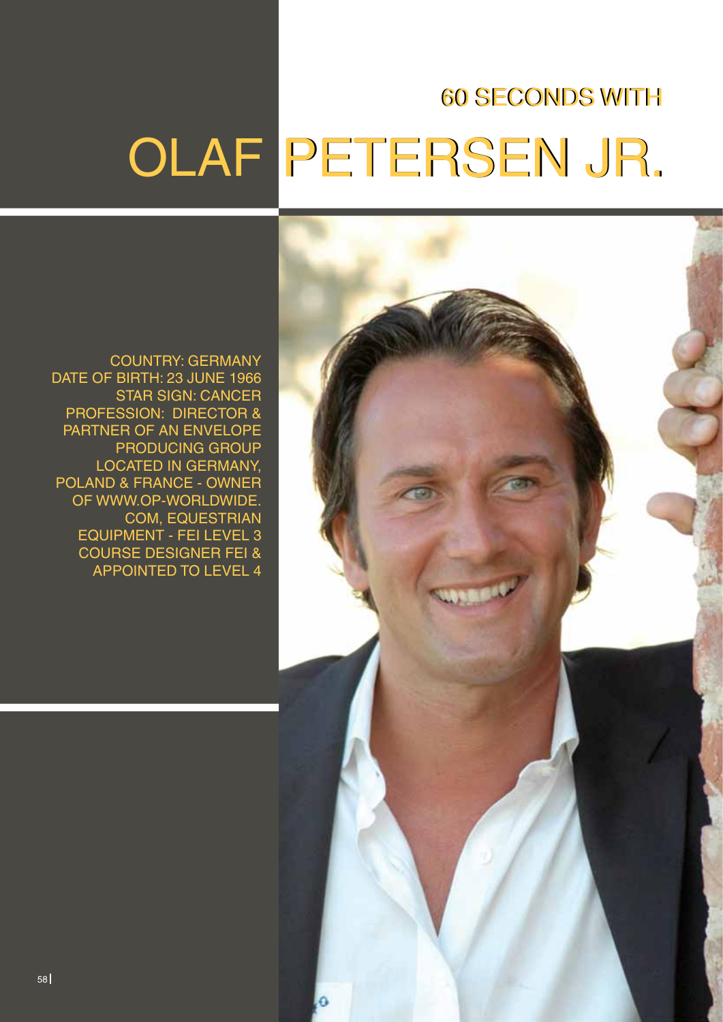# **60 SECONDS WITH**

# OLAF PETERSEN JR.

Country: Germany DATE OF BIRTH: 23 JUNE 1966 **STAR SIGN: CANCER** PROFESSION: DIRECTOR & Partner of an Envelope Producing Group located in Germany, Poland & France - Owner OF WWW.OP-WORLDWIDE. com, Equestrian Equipment - FEI Level 3 Course Designer FEI & appointed to Level 4